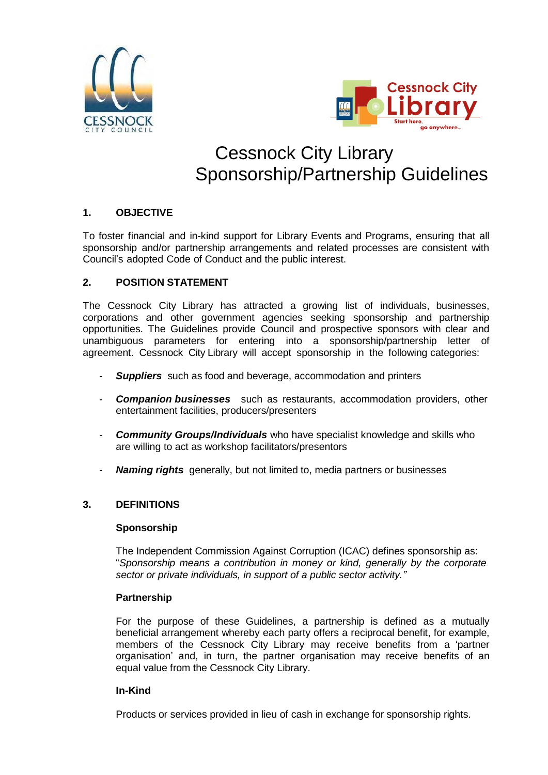



# Cessnock City Library Sponsorship/Partnership Guidelines

## **1. OBJECTIVE**

To foster financial and in-kind support for Library Events and Programs, ensuring that all sponsorship and/or partnership arrangements and related processes are consistent with Council's adopted Code of Conduct and the public interest.

## **2. POSITION STATEMENT**

The Cessnock City Library has attracted a growing list of individuals, businesses, corporations and other government agencies seeking sponsorship and partnership opportunities. The Guidelines provide Council and prospective sponsors with clear and unambiguous parameters for entering into a sponsorship/partnership letter of agreement. Cessnock City Library will accept sponsorship in the following categories:

- **Suppliers** such as food and beverage, accommodation and printers
- *Companion businesses* such as restaurants, accommodation providers, other entertainment facilities, producers/presenters
- *Community Groups/Individuals* who have specialist knowledge and skills who are willing to act as workshop facilitators/presentors
- *Naming rights* generally, but not limited to, media partners or businesses

## **3. DEFINITIONS**

## **Sponsorship**

The Independent Commission Against Corruption (ICAC) defines sponsorship as: "*Sponsorship means a contribution in money or kind, generally by the corporate sector or private individuals, in support of a public sector activity."*

## **Partnership**

For the purpose of these Guidelines, a partnership is defined as a mutually beneficial arrangement whereby each party offers a reciprocal benefit, for example, members of the Cessnock City Library may receive benefits from a 'partner organisation' and, in turn, the partner organisation may receive benefits of an equal value from the Cessnock City Library.

## **In-Kind**

Products or services provided in lieu of cash in exchange for sponsorship rights.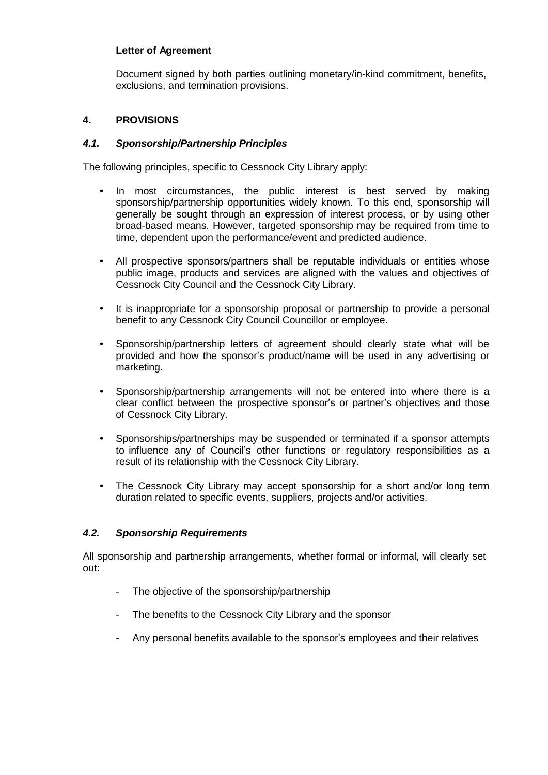## **Letter of Agreement**

Document signed by both parties outlining monetary/in-kind commitment, benefits, exclusions, and termination provisions.

## **4. PROVISIONS**

## *4.1. Sponsorship/Partnership Principles*

The following principles, specific to Cessnock City Library apply:

- In most circumstances, the public interest is best served by making sponsorship/partnership opportunities widely known. To this end, sponsorship will generally be sought through an expression of interest process, or by using other broad-based means. However, targeted sponsorship may be required from time to time, dependent upon the performance/event and predicted audience.
- All prospective sponsors/partners shall be reputable individuals or entities whose public image, products and services are aligned with the values and objectives of Cessnock City Council and the Cessnock City Library.
- It is inappropriate for a sponsorship proposal or partnership to provide a personal benefit to any Cessnock City Council Councillor or employee.
- Sponsorship/partnership letters of agreement should clearly state what will be provided and how the sponsor's product/name will be used in any advertising or marketing.
- Sponsorship/partnership arrangements will not be entered into where there is a clear conflict between the prospective sponsor's or partner's objectives and those of Cessnock City Library.
- Sponsorships/partnerships may be suspended or terminated if a sponsor attempts to influence any of Council's other functions or regulatory responsibilities as a result of its relationship with the Cessnock City Library.
- The Cessnock City Library may accept sponsorship for a short and/or long term duration related to specific events, suppliers, projects and/or activities.

## *4.2. Sponsorship Requirements*

All sponsorship and partnership arrangements, whether formal or informal, will clearly set out:

- The objective of the sponsorship/partnership
- The benefits to the Cessnock City Library and the sponsor
- Any personal benefits available to the sponsor's employees and their relatives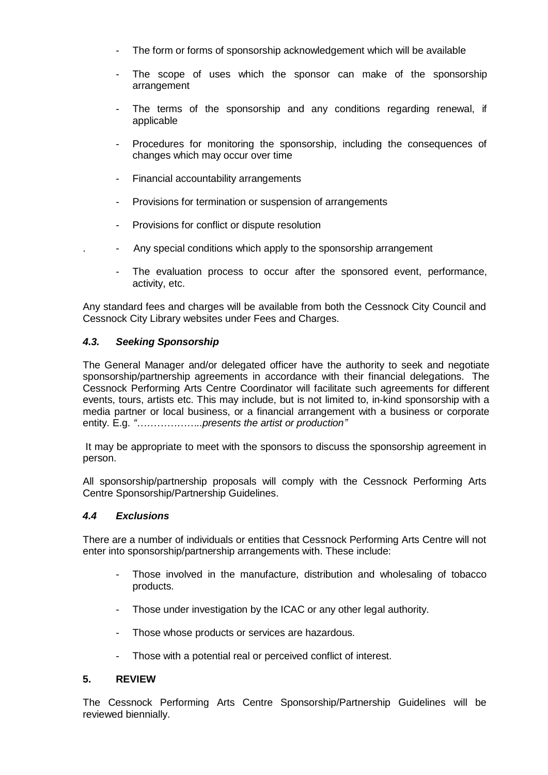- The form or forms of sponsorship acknowledgement which will be available
- The scope of uses which the sponsor can make of the sponsorship arrangement
- The terms of the sponsorship and any conditions regarding renewal, if applicable
- Procedures for monitoring the sponsorship, including the consequences of changes which may occur over time
- Financial accountability arrangements
- Provisions for termination or suspension of arrangements
- Provisions for conflict or dispute resolution
- Any special conditions which apply to the sponsorship arrangement
- The evaluation process to occur after the sponsored event, performance, activity, etc.

Any standard fees and charges will be available from both the Cessnock City Council and Cessnock City Library websites under Fees and Charges.

## *4.3. Seeking Sponsorship*

The General Manager and/or delegated officer have the authority to seek and negotiate sponsorship/partnership agreements in accordance with their financial delegations. The Cessnock Performing Arts Centre Coordinator will facilitate such agreements for different events, tours, artists etc. This may include, but is not limited to, in-kind sponsorship with a media partner or local business, or a financial arrangement with a business or corporate entity. E.g. *"………………..presents the artist or production"*

It may be appropriate to meet with the sponsors to discuss the sponsorship agreement in person.

All sponsorship/partnership proposals will comply with the Cessnock Performing Arts Centre Sponsorship/Partnership Guidelines.

## *4.4 Exclusions*

There are a number of individuals or entities that Cessnock Performing Arts Centre will not enter into sponsorship/partnership arrangements with. These include:

- Those involved in the manufacture, distribution and wholesaling of tobacco products.
- Those under investigation by the ICAC or any other legal authority.
- Those whose products or services are hazardous.
- Those with a potential real or perceived conflict of interest.

## **5. REVIEW**

The Cessnock Performing Arts Centre Sponsorship/Partnership Guidelines will be reviewed biennially.